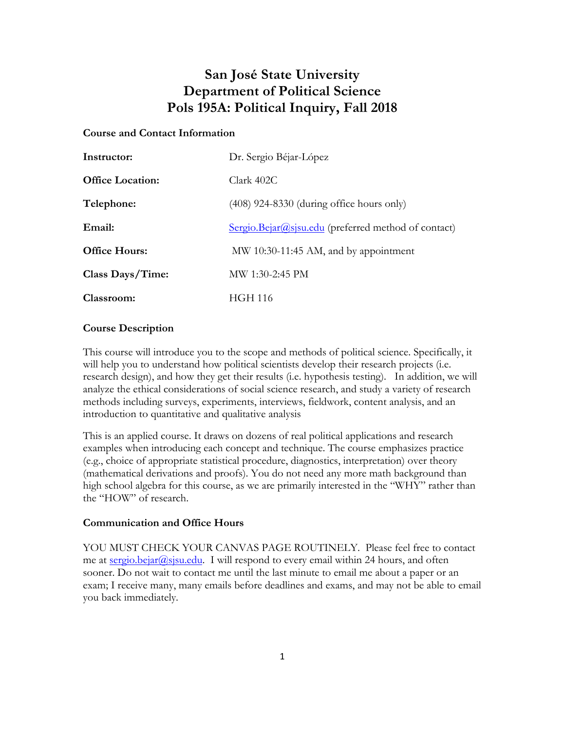# **San José State University Department of Political Science Pols 195A: Political Inquiry, Fall 2018**

### **Course and Contact Information**

| Instructor:             | Dr. Sergio Béjar-López                                |
|-------------------------|-------------------------------------------------------|
| <b>Office Location:</b> | Clark 402C                                            |
| Telephone:              | $(408)$ 924-8330 (during office hours only)           |
| Email:                  | $Sergio.Bejar@sisu.edu$ (preferred method of contact) |
| <b>Office Hours:</b>    | MW 10:30-11:45 AM, and by appointment                 |
| Class Days/Time:        | MW 1:30-2:45 PM                                       |
| Classroom:              | <b>HGH 116</b>                                        |

### **Course Description**

This course will introduce you to the scope and methods of political science. Specifically, it will help you to understand how political scientists develop their research projects (i.e. research design), and how they get their results (i.e. hypothesis testing). In addition, we will analyze the ethical considerations of social science research, and study a variety of research methods including surveys, experiments, interviews, fieldwork, content analysis, and an introduction to quantitative and qualitative analysis

This is an applied course. It draws on dozens of real political applications and research examples when introducing each concept and technique. The course emphasizes practice (e.g., choice of appropriate statistical procedure, diagnostics, interpretation) over theory (mathematical derivations and proofs). You do not need any more math background than high school algebra for this course, as we are primarily interested in the "WHY" rather than the "HOW" of research.

#### **Communication and Office Hours**

YOU MUST CHECK YOUR CANVAS PAGE ROUTINELY. Please feel free to contact me at sergio.bejar@sjsu.edu. I will respond to every email within 24 hours, and often sooner. Do not wait to contact me until the last minute to email me about a paper or an exam; I receive many, many emails before deadlines and exams, and may not be able to email you back immediately.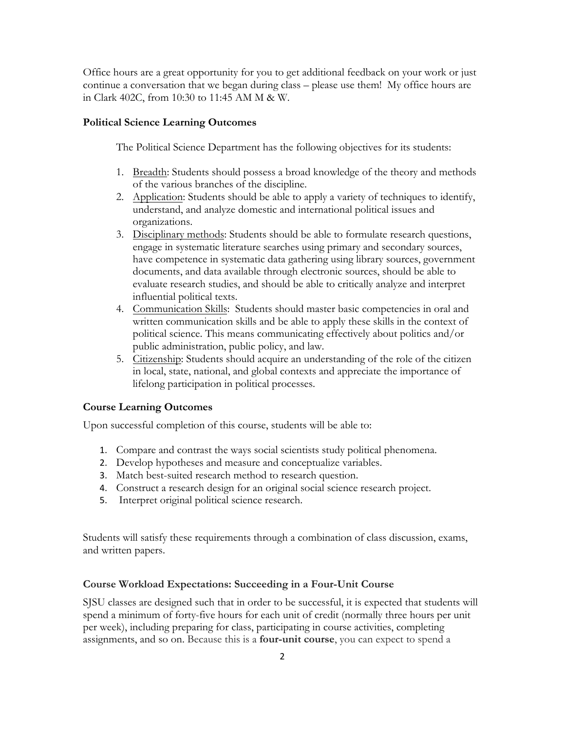Office hours are a great opportunity for you to get additional feedback on your work or just continue a conversation that we began during class – please use them! My office hours are in Clark 402C, from 10:30 to 11:45 AM M & W.

### **Political Science Learning Outcomes**

The Political Science Department has the following objectives for its students:

- 1. Breadth: Students should possess a broad knowledge of the theory and methods of the various branches of the discipline.
- 2. Application: Students should be able to apply a variety of techniques to identify, understand, and analyze domestic and international political issues and organizations.
- 3. Disciplinary methods: Students should be able to formulate research questions, engage in systematic literature searches using primary and secondary sources, have competence in systematic data gathering using library sources, government documents, and data available through electronic sources, should be able to evaluate research studies, and should be able to critically analyze and interpret influential political texts.
- 4. Communication Skills: Students should master basic competencies in oral and written communication skills and be able to apply these skills in the context of political science. This means communicating effectively about politics and/or public administration, public policy, and law.
- 5. Citizenship: Students should acquire an understanding of the role of the citizen in local, state, national, and global contexts and appreciate the importance of lifelong participation in political processes.

#### **Course Learning Outcomes**

Upon successful completion of this course, students will be able to:

- 1. Compare and contrast the ways social scientists study political phenomena.
- 2. Develop hypotheses and measure and conceptualize variables.
- 3. Match best-suited research method to research question.
- 4. Construct a research design for an original social science research project.
- 5. Interpret original political science research.

Students will satisfy these requirements through a combination of class discussion, exams, and written papers.

#### **Course Workload Expectations: Succeeding in a Four-Unit Course**

SJSU classes are designed such that in order to be successful, it is expected that students will spend a minimum of forty-five hours for each unit of credit (normally three hours per unit per week), including preparing for class, participating in course activities, completing assignments, and so on. Because this is a **four-unit course**, you can expect to spend a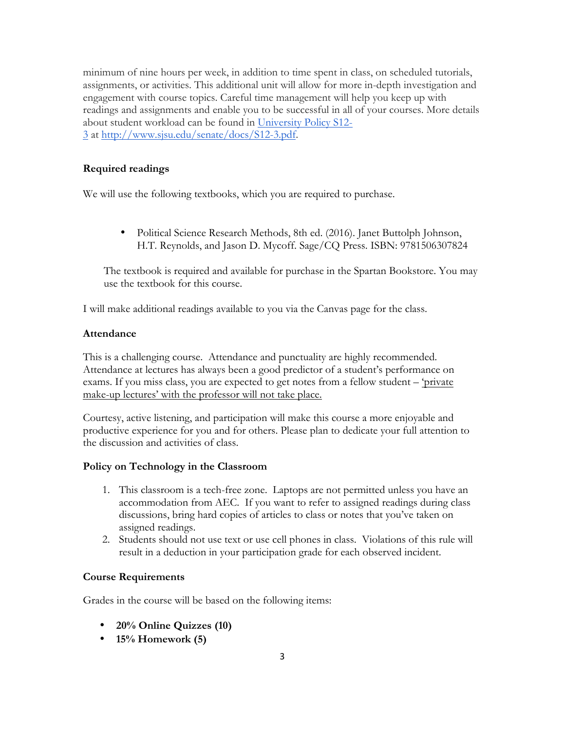minimum of nine hours per week, in addition to time spent in class, on scheduled tutorials, assignments, or activities. This additional unit will allow for more in-depth investigation and engagement with course topics. Careful time management will help you keep up with readings and assignments and enable you to be successful in all of your courses. More details about student workload can be found in University Policy S12- 3 at http://www.sjsu.edu/senate/docs/S12-3.pdf.

### **Required readings**

We will use the following textbooks, which you are required to purchase.

• Political Science Research Methods, 8th ed. (2016). Janet Buttolph Johnson, H.T. Reynolds, and Jason D. Mycoff. Sage/CQ Press. ISBN: 9781506307824

The textbook is required and available for purchase in the Spartan Bookstore. You may use the textbook for this course.

I will make additional readings available to you via the Canvas page for the class.

#### **Attendance**

This is a challenging course. Attendance and punctuality are highly recommended. Attendance at lectures has always been a good predictor of a student's performance on exams. If you miss class, you are expected to get notes from a fellow student – 'private make-up lectures' with the professor will not take place.

Courtesy, active listening, and participation will make this course a more enjoyable and productive experience for you and for others. Please plan to dedicate your full attention to the discussion and activities of class.

#### **Policy on Technology in the Classroom**

- 1. This classroom is a tech-free zone. Laptops are not permitted unless you have an accommodation from AEC. If you want to refer to assigned readings during class discussions, bring hard copies of articles to class or notes that you've taken on assigned readings.
- 2. Students should not use text or use cell phones in class. Violations of this rule will result in a deduction in your participation grade for each observed incident.

### **Course Requirements**

Grades in the course will be based on the following items:

- **20% Online Quizzes (10)**
- **15% Homework (5)**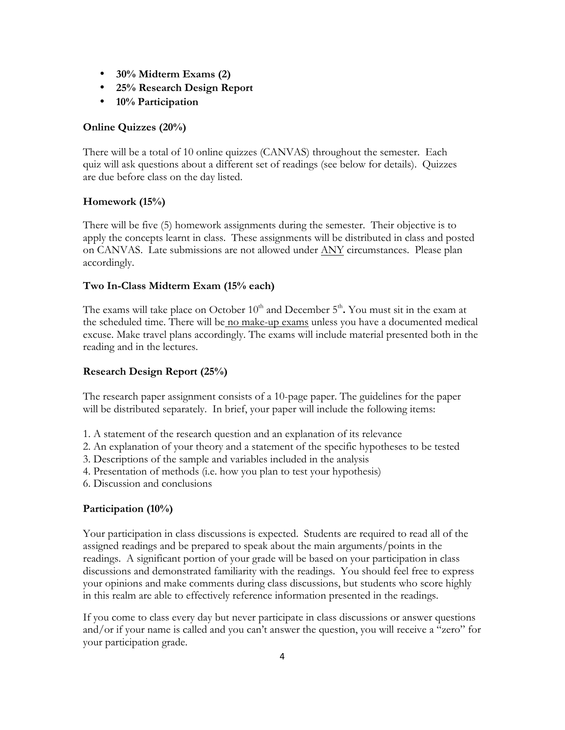- **30% Midterm Exams (2)**
- **25% Research Design Report**
- **10% Participation**

### **Online Quizzes (20%)**

There will be a total of 10 online quizzes (CANVAS) throughout the semester. Each quiz will ask questions about a different set of readings (see below for details). Quizzes are due before class on the day listed.

### **Homework (15%)**

There will be five (5) homework assignments during the semester. Their objective is to apply the concepts learnt in class. These assignments will be distributed in class and posted on CANVAS. Late submissions are not allowed under ANY circumstances. Please plan accordingly.

### **Two In-Class Midterm Exam (15% each)**

The exams will take place on October  $10<sup>th</sup>$  and December  $5<sup>th</sup>$ . You must sit in the exam at the scheduled time. There will be no make-up exams unless you have a documented medical excuse. Make travel plans accordingly. The exams will include material presented both in the reading and in the lectures.

### **Research Design Report (25%)**

The research paper assignment consists of a 10-page paper. The guidelines for the paper will be distributed separately. In brief, your paper will include the following items:

- 1. A statement of the research question and an explanation of its relevance
- 2. An explanation of your theory and a statement of the specific hypotheses to be tested
- 3. Descriptions of the sample and variables included in the analysis
- 4. Presentation of methods (i.e. how you plan to test your hypothesis)
- 6. Discussion and conclusions

## **Participation (10%)**

Your participation in class discussions is expected. Students are required to read all of the assigned readings and be prepared to speak about the main arguments/points in the readings. A significant portion of your grade will be based on your participation in class discussions and demonstrated familiarity with the readings. You should feel free to express your opinions and make comments during class discussions, but students who score highly in this realm are able to effectively reference information presented in the readings.

If you come to class every day but never participate in class discussions or answer questions and/or if your name is called and you can't answer the question, you will receive a "zero" for your participation grade.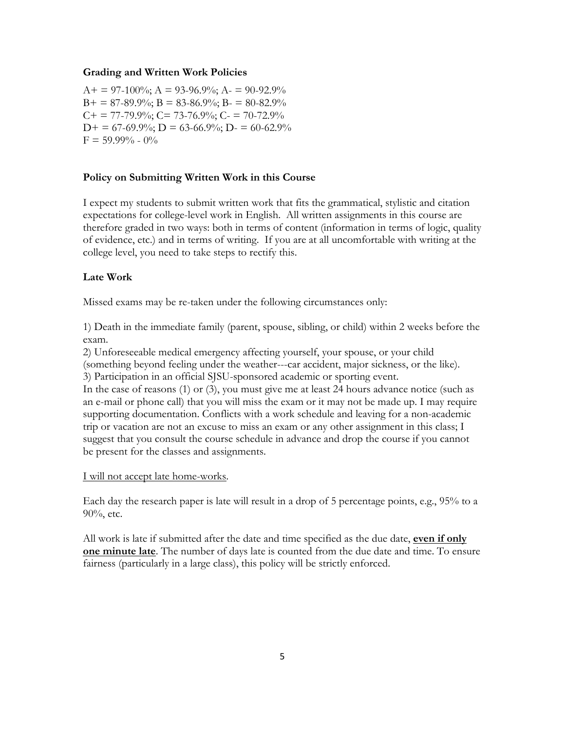#### **Grading and Written Work Policies**

 $A+= 97-100\%$ ;  $A = 93-96.9\%$ ;  $A = 90-92.9\%$  $B+ = 87-89.9\%$ ;  $B = 83-86.9\%$ ;  $B = 80-82.9\%$  $C_{+}$  = 77-79.9%;  $C_{-}$  73-76.9%;  $C_{-}$  = 70-72.9%  $D+ = 67-69.9\%; D = 63-66.9\%; D = 60-62.9\%$  $F = 59.99\% - 0\%$ 

#### **Policy on Submitting Written Work in this Course**

I expect my students to submit written work that fits the grammatical, stylistic and citation expectations for college-level work in English. All written assignments in this course are therefore graded in two ways: both in terms of content (information in terms of logic, quality of evidence, etc.) and in terms of writing. If you are at all uncomfortable with writing at the college level, you need to take steps to rectify this.

#### **Late Work**

Missed exams may be re-taken under the following circumstances only:

1) Death in the immediate family (parent, spouse, sibling, or child) within 2 weeks before the exam.

2) Unforeseeable medical emergency affecting yourself, your spouse, or your child

(something beyond feeling under the weather---car accident, major sickness, or the like). 3) Participation in an official SJSU-sponsored academic or sporting event.

In the case of reasons (1) or (3), you must give me at least 24 hours advance notice (such as an e-mail or phone call) that you will miss the exam or it may not be made up. I may require supporting documentation. Conflicts with a work schedule and leaving for a non-academic trip or vacation are not an excuse to miss an exam or any other assignment in this class; I suggest that you consult the course schedule in advance and drop the course if you cannot be present for the classes and assignments.

#### I will not accept late home-works.

Each day the research paper is late will result in a drop of 5 percentage points, e.g., 95% to a 90%, etc.

All work is late if submitted after the date and time specified as the due date, **even if only one minute late**. The number of days late is counted from the due date and time. To ensure fairness (particularly in a large class), this policy will be strictly enforced.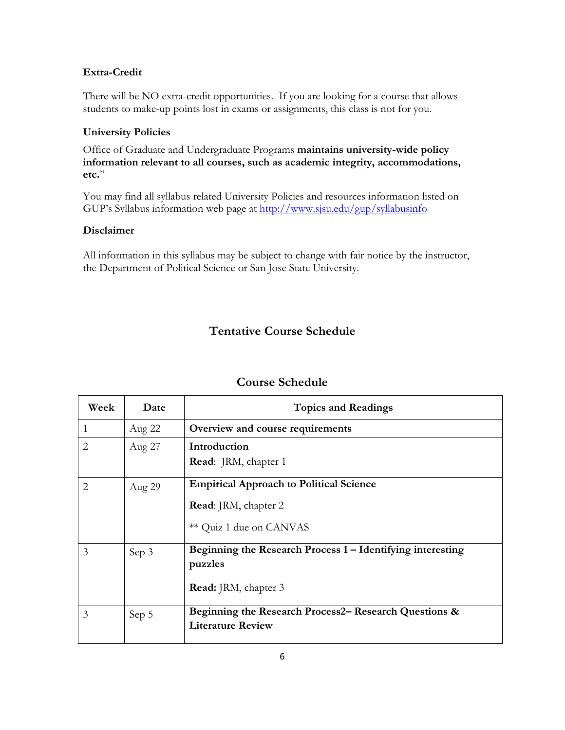### **Extra-Credit**

There will be NO extra-credit opportunities. If you are looking for a course that allows students to make-up points lost in exams or assignments, this class is not for you.

#### **University Policies**

Office of Graduate and Undergraduate Programs **maintains university-wide policy information relevant to all courses, such as academic integrity, accommodations, etc.**"

You may find all syllabus related University Policies and resources information listed on GUP's Syllabus information web page at http://www.sjsu.edu/gup/syllabusinfo

### **Disclaimer**

All information in this syllabus may be subject to change with fair notice by the instructor, the Department of Political Science or San Jose State University.

# **Tentative Course Schedule**

| Week | Date   | <b>Topics and Readings</b>                                 |
|------|--------|------------------------------------------------------------|
| 1    | Aug 22 | Overview and course requirements                           |
| 2    | Aug 27 | Introduction                                               |
|      |        | Read: JRM, chapter 1                                       |
| 2    | Aug 29 | <b>Empirical Approach to Political Science</b>             |
|      |        | Read: JRM, chapter 2                                       |
|      |        | ** Quiz 1 due on CANVAS                                    |
| 3    | Sep 3  | Beginning the Research Process 1 – Identifying interesting |
|      |        | puzzles                                                    |
|      |        | <b>Read:</b> JRM, chapter 3                                |
| 3    | Sep 5  | Beginning the Research Process2– Research Questions &      |
|      |        | <b>Literature Review</b>                                   |

### **Course Schedule**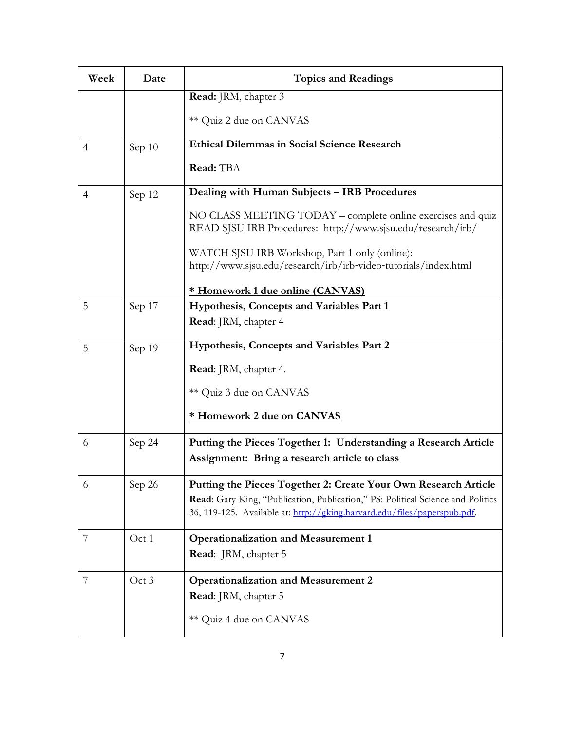| Week | Date   | <b>Topics and Readings</b>                                                                                                                                                                                                     |
|------|--------|--------------------------------------------------------------------------------------------------------------------------------------------------------------------------------------------------------------------------------|
|      |        | <b>Read:</b> JRM, chapter 3                                                                                                                                                                                                    |
|      |        | ** Quiz 2 due on CANVAS                                                                                                                                                                                                        |
| 4    | Sep 10 | <b>Ethical Dilemmas in Social Science Research</b>                                                                                                                                                                             |
|      |        | Read: TBA                                                                                                                                                                                                                      |
| 4    | Sep 12 | Dealing with Human Subjects - IRB Procedures                                                                                                                                                                                   |
|      |        | NO CLASS MEETING TODAY – complete online exercises and quiz<br>READ SJSU IRB Procedures: http://www.sjsu.edu/research/irb/                                                                                                     |
|      |        | WATCH SJSU IRB Workshop, Part 1 only (online):<br>http://www.sjsu.edu/research/irb/irb-video-tutorials/index.html                                                                                                              |
|      |        | * Homework 1 due online (CANVAS)                                                                                                                                                                                               |
| 5    | Sep 17 | Hypothesis, Concepts and Variables Part 1                                                                                                                                                                                      |
|      |        | Read: JRM, chapter 4                                                                                                                                                                                                           |
| 5    | Sep 19 | Hypothesis, Concepts and Variables Part 2                                                                                                                                                                                      |
|      |        | Read: JRM, chapter 4.                                                                                                                                                                                                          |
|      |        | ** Quiz 3 due on CANVAS                                                                                                                                                                                                        |
|      |        | * Homework 2 due on CANVAS                                                                                                                                                                                                     |
| 6    | Sep 24 | Putting the Pieces Together 1: Understanding a Research Article                                                                                                                                                                |
|      |        | <b>Assignment:</b> Bring a research article to class                                                                                                                                                                           |
| 6    | Sep 26 | Putting the Pieces Together 2: Create Your Own Research Article<br>Read: Gary King, "Publication, Publication," PS: Political Science and Politics<br>36, 119-125. Available at: http://gking.harvard.edu/files/paperspub.pdf. |
| 7    | Oct 1  | <b>Operationalization and Measurement 1</b>                                                                                                                                                                                    |
|      |        | Read: JRM, chapter 5                                                                                                                                                                                                           |
| 7    | Oct 3  | <b>Operationalization and Measurement 2</b>                                                                                                                                                                                    |
|      |        | Read: JRM, chapter 5                                                                                                                                                                                                           |
|      |        | ** Quiz 4 due on CANVAS                                                                                                                                                                                                        |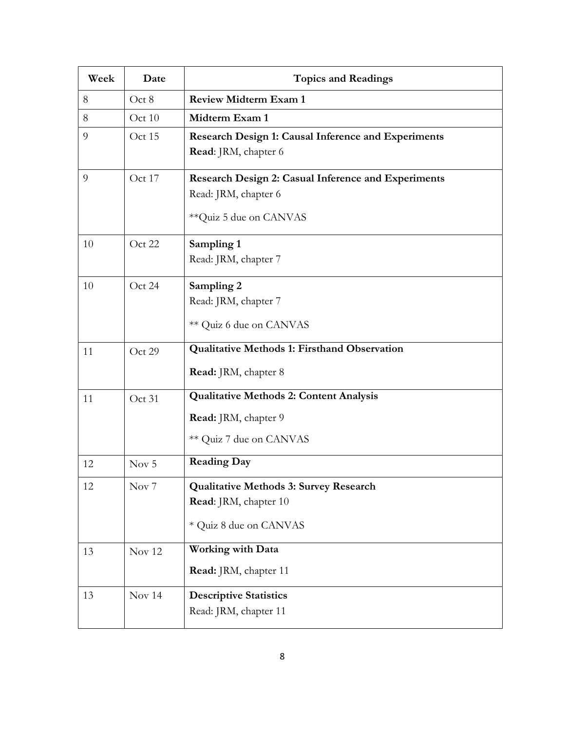| Week | Date             | <b>Topics and Readings</b>                                 |
|------|------------------|------------------------------------------------------------|
| 8    | Oct 8            | <b>Review Midterm Exam 1</b>                               |
| 8    | Oct 10           | Midterm Exam 1                                             |
| 9    | Oct 15           | <b>Research Design 1: Causal Inference and Experiments</b> |
|      |                  | Read: JRM, chapter 6                                       |
| 9    | Oct 17           | Research Design 2: Casual Inference and Experiments        |
|      |                  | Read: JRM, chapter 6                                       |
|      |                  | ** Quiz 5 due on CANVAS                                    |
| 10   | Oct 22           | Sampling 1                                                 |
|      |                  | Read: JRM, chapter 7                                       |
| 10   | Oct 24           | Sampling 2                                                 |
|      |                  | Read: JRM, chapter 7                                       |
|      |                  | ** Quiz 6 due on CANVAS                                    |
| 11   | Oct 29           | <b>Qualitative Methods 1: Firsthand Observation</b>        |
|      |                  | Read: JRM, chapter 8                                       |
| 11   | Oct 31           | <b>Qualitative Methods 2: Content Analysis</b>             |
|      |                  | Read: JRM, chapter 9                                       |
|      |                  | ** Quiz 7 due on CANVAS                                    |
| 12   | Nov $5$          | <b>Reading Day</b>                                         |
| 12   | Nov <sub>7</sub> | <b>Qualitative Methods 3: Survey Research</b>              |
|      |                  | Read: JRM, chapter 10                                      |
|      |                  | * Quiz 8 due on CANVAS                                     |
| 13   | Nov 12           | <b>Working with Data</b>                                   |
|      |                  | Read: JRM, chapter 11                                      |
| 13   | Nov 14           | <b>Descriptive Statistics</b>                              |
|      |                  | Read: JRM, chapter 11                                      |